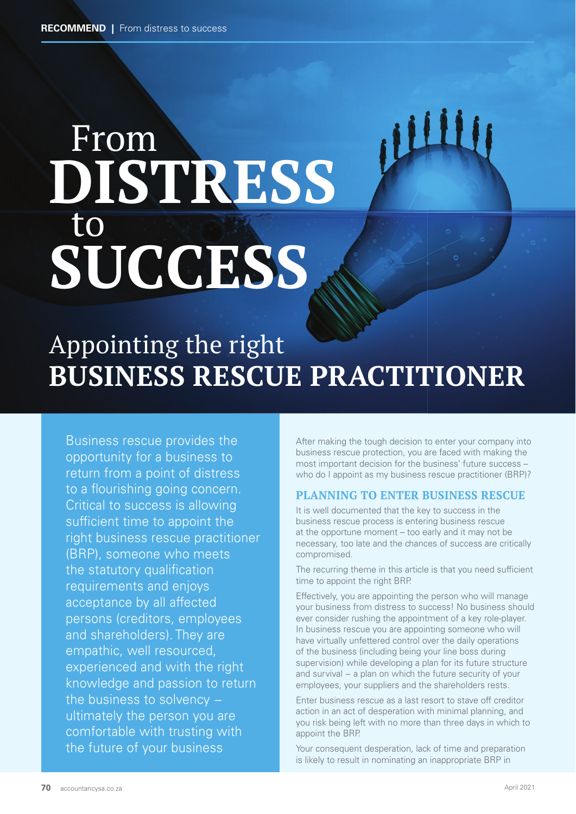# **ITHUITE** From **DISTRESS** to **SUCCESS**

### Appointing the right **BUSINESS RESCUE PRACTITIONER**

Business rescue provides the opportunity for a business to return from a point of distress to a flourishing going concern. Critical to success is allowing sufficient time to appoint the right business rescue practitioner (BRP), someone who meets the statutory qualification requirements and enjoys acceptance by all affected persons (creditors, employees and shareholders). They are empathic, well resourced, experienced and with the right knowledge and passion to return the business to solvency − ultimately the person you are comfortable with trusting with the future of your business

After making the tough decision to enter your company into business rescue protection, you are faced with making the most important decision for the business' future success – who do I appoint as my business rescue practitioner (BRP)?

#### **PLANNING TO ENTER BUSINESS RESCUE**

It is well documented that the key to success in the business rescue process is entering business rescue at the opportune moment – too early and it may not be necessary, too late and the chances of success are critically compromised.

The recurring theme in this article is that you need sufficient time to appoint the right BRP.

Effectively, you are appointing the person who will manage your business from distress to success! No business should ever consider rushing the appointment of a key role-player. In business rescue you are appointing someone who will have virtually unfettered control over the daily operations of the business (including being your line boss during supervision) while developing a plan for its future structure and survival – a plan on which the future security of your employees, your suppliers and the shareholders rests.

Enter business rescue as a last resort to stave off creditor action in an act of desperation with minimal planning, and you risk being left with no more than three days in which to appoint the BRP.

Your consequent desperation, lack of time and preparation is likely to result in nominating an inappropriate BRP in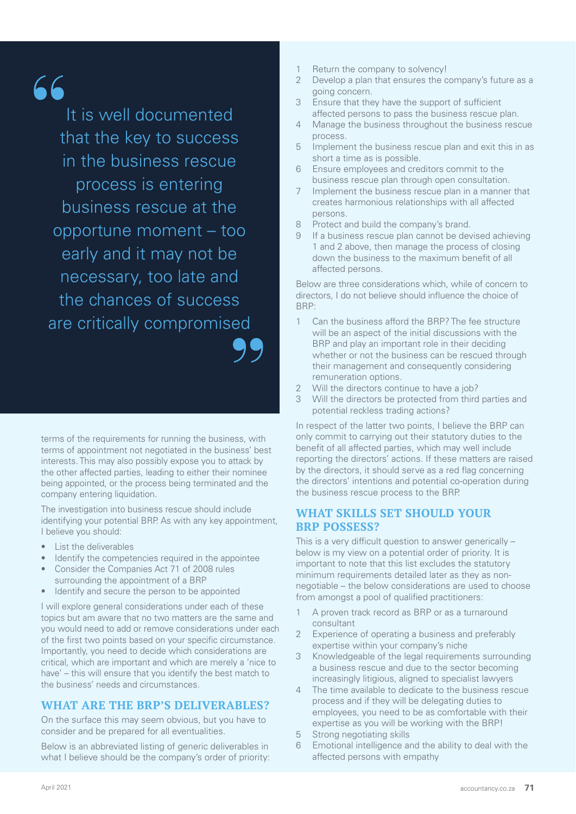## $66$

It is well documented that the key to success in the business rescue process is entering business rescue at the opportune moment – too early and it may not be necessary, too late and the chances of success are critically compromised

terms of the requirements for running the business, with terms of appointment not negotiated in the business' best interests. This may also possibly expose you to attack by the other affected parties, leading to either their nominee being appointed, or the process being terminated and the company entering liquidation.

The investigation into business rescue should include identifying your potential BRP. As with any key appointment, I believe you should:

- List the deliverables
- Identify the competencies required in the appointee
- Consider the Companies Act 71 of 2008 rules surrounding the appointment of a BRP
- Identify and secure the person to be appointed

I will explore general considerations under each of these topics but am aware that no two matters are the same and you would need to add or remove considerations under each of the first two points based on your specific circumstance. Importantly, you need to decide which considerations are critical, which are important and which are merely a 'nice to have' – this will ensure that you identify the best match to the business' needs and circumstances.

#### **WHAT ARE THE BRP'S DELIVERABLES?**

On the surface this may seem obvious, but you have to consider and be prepared for all eventualities.

Below is an abbreviated listing of generic deliverables in what I believe should be the company's order of priority:

- 1 Return the company to solvency!<br>2 Develop a plan that ensures the c
- Develop a plan that ensures the company's future as a going concern.
- 3 Ensure that they have the support of sufficient affected persons to pass the business rescue plan.
- 4 Manage the business throughout the business rescue process.
- 5 Implement the business rescue plan and exit this in as short a time as is possible.
- 6 Ensure employees and creditors commit to the business rescue plan through open consultation.
- 7 Implement the business rescue plan in a manner that creates harmonious relationships with all affected persons.
- 8 Protect and build the company's brand.
- 9 If a business rescue plan cannot be devised achieving 1 and 2 above, then manage the process of closing down the business to the maximum benefit of all affected persons.

Below are three considerations which, while of concern to directors, I do not believe should influence the choice of BRP:

- 1 Can the business afford the BRP? The fee structure will be an aspect of the initial discussions with the BRP and play an important role in their deciding whether or not the business can be rescued through their management and consequently considering remuneration options.
- 2 Will the directors continue to have a job?
- 3 Will the directors be protected from third parties and potential reckless trading actions?

In respect of the latter two points, I believe the BRP can only commit to carrying out their statutory duties to the benefit of all affected parties, which may well include reporting the directors' actions. If these matters are raised by the directors, it should serve as a red flag concerning the directors' intentions and potential co-operation during the business rescue process to the BRP.

#### **WHAT SKILLS SET SHOULD YOUR BRP POSSESS?**

This is a very difficult question to answer generically – below is my view on a potential order of priority. It is important to note that this list excludes the statutory minimum requirements detailed later as they as nonnegotiable – the below considerations are used to choose from amongst a pool of qualified practitioners:

- 1 A proven track record as BRP or as a turnaround consultant
- 2 Experience of operating a business and preferably expertise within your company's niche
- Knowledgeable of the legal requirements surrounding a business rescue and due to the sector becoming increasingly litigious, aligned to specialist lawyers
- 4 The time available to dedicate to the business rescue process and if they will be delegating duties to employees, you need to be as comfortable with their expertise as you will be working with the BRP!
- 5 Strong negotiating skills
- 6 Emotional intelligence and the ability to deal with the affected persons with empathy